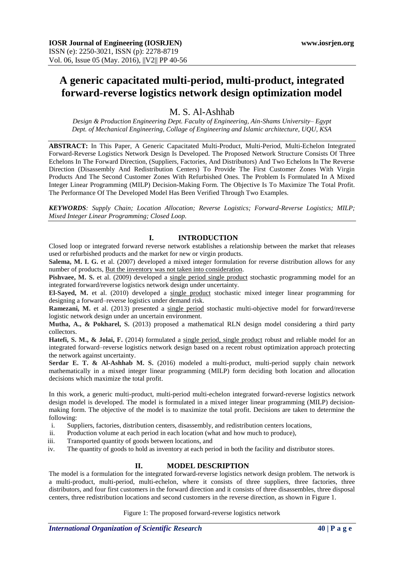# **A generic capacitated multi-period, multi-product, integrated forward-reverse logistics network design optimization model**

M. S. Al-Ashhab

*Design & Production Engineering Dept. Faculty of Engineering, Ain-Shams University– Egypt Dept. of Mechanical Engineering, Collage of Engineering and Islamic architecture, UQU, KSA*

**ABSTRACT:** In This Paper, A Generic Capacitated Multi-Product, Multi-Period, Multi-Echelon Integrated Forward-Reverse Logistics Network Design Is Developed. The Proposed Network Structure Consists Of Three Echelons In The Forward Direction, (Suppliers, Factories, And Distributors) And Two Echelons In The Reverse Direction (Disassembly And Redistribution Centers) To Provide The First Customer Zones With Virgin Products And The Second Customer Zones With Refurbished Ones. The Problem Is Formulated In A Mixed Integer Linear Programming (MILP) Decision-Making Form. The Objective Is To Maximize The Total Profit. The Performance Of The Developed Model Has Been Verified Through Two Examples.

*KEYWORDS: Supply Chain; Location Allocation; Reverse Logistics; Forward-Reverse Logistics; MILP; Mixed Integer Linear Programming; Closed Loop.*

### **I. INTRODUCTION**

Closed loop or integrated forward reverse network establishes a relationship between the market that releases used or refurbished products and the market for new or virgin products.

**Salema, M. I. G.** et al. (2007) developed a mixed integer formulation for reverse distribution allows for any number of products, But the inventory was not taken into consideration.

**Pishvaee, M. S.** et al. (2009) developed a single period single product stochastic programming model for an integrated forward/reverse logistics network design under uncertainty.

**El-Sayed, M.** et al. (2010) developed a single product stochastic mixed integer linear programming for designing a forward–reverse logistics under demand risk.

**Ramezani, M.** et al. (2013) presented a single period stochastic multi-objective model for forward/reverse logistic network design under an uncertain environment.

**Mutha, A., & Pokharel, S.** (2013) proposed a mathematical RLN design model considering a third party collectors.

**Hatefi, S. M., & Jolai, F.** (2014) formulated a single period, single product robust and reliable model for an integrated forward–reverse logistics network design based on a recent robust optimization approach protecting the network against uncertainty.

**Serdar E. T. & Al-Ashhab M. S.** (2016) modeled a multi-product, multi-period supply chain network mathematically in a mixed integer linear programming (MILP) form deciding both location and allocation decisions which maximize the total profit.

In this work, a generic multi-product, multi-period multi-echelon integrated forward-reverse logistics network design model is developed. The model is formulated in a mixed integer linear programming (MILP) decisionmaking form. The objective of the model is to maximize the total profit. Decisions are taken to determine the following:

- i. Suppliers, factories, distribution centers, disassembly, and redistribution centers locations,
- ii. Production volume at each period in each location (what and how much to produce),
- iii. Transported quantity of goods between locations, and
- iv. The quantity of goods to hold as inventory at each period in both the facility and distributor stores.

### **II. MODEL DESCRIPTION**

The model is a formulation for the integrated forward-reverse logistics network design problem. The network is a multi-product, multi-period, multi-echelon, where it consists of three suppliers, three factories, three distributors, and four first customers in the forward direction and it consists of three disassembles, three disposal centers, three redistribution locations and second customers in the reverse direction, as shown in Figure 1.

Figure 1: The proposed forward-reverse logistics network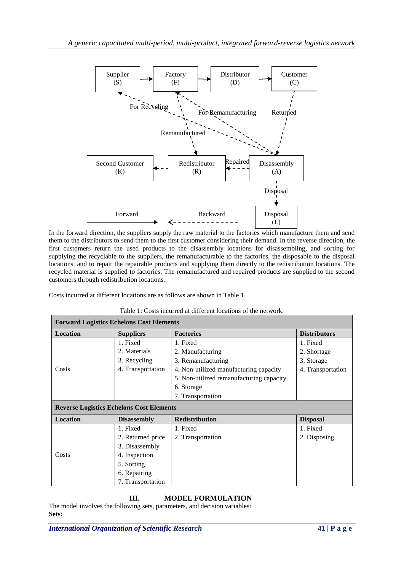

In the forward direction, the suppliers supply the raw material to the factories which manufacture them and send them to the distributors to send them to the first customer considering their demand. In the reverse direction, the first customers return the used products to the disassembly locations for disassembling, and sorting for supplying the recyclable to the suppliers, the remanufacturable to the factories, the disposable to the disposal locations, and to repair the repairable products and supplying them directly to the redistribution locations. The recycled material is supplied to factories. The remanufactured and repaired products are supplied to the second customers through redistribution locations.

Costs incurred at different locations are as follows are shown in Table 1.

| <b>Forward Logistics Echelons Cost Elements</b> |                    |                                          |                     |  |  |  |  |  |  |  |  |
|-------------------------------------------------|--------------------|------------------------------------------|---------------------|--|--|--|--|--|--|--|--|
| Location                                        | <b>Suppliers</b>   | <b>Factories</b>                         | <b>Distributors</b> |  |  |  |  |  |  |  |  |
|                                                 | 1. Fixed           | 1. Fixed                                 | 1. Fixed            |  |  |  |  |  |  |  |  |
|                                                 | 2. Materials       | 2. Manufacturing                         | 2. Shortage         |  |  |  |  |  |  |  |  |
|                                                 | 3. Recycling       | 3. Remanufacturing                       | 3. Storage          |  |  |  |  |  |  |  |  |
| Costs                                           | 4. Transportation  | 4. Non-utilized manufacturing capacity   | 4. Transportation   |  |  |  |  |  |  |  |  |
|                                                 |                    | 5. Non-utilized remanufacturing capacity |                     |  |  |  |  |  |  |  |  |
|                                                 |                    | 6. Storage                               |                     |  |  |  |  |  |  |  |  |
|                                                 |                    | 7. Transportation                        |                     |  |  |  |  |  |  |  |  |
| <b>Reverse Logistics Echelons Cost Elements</b> |                    |                                          |                     |  |  |  |  |  |  |  |  |
| Location                                        | <b>Disassembly</b> | <b>Redistribution</b>                    | <b>Disposal</b>     |  |  |  |  |  |  |  |  |
|                                                 | 1. Fixed           | 1. Fixed                                 | 1. Fixed            |  |  |  |  |  |  |  |  |
|                                                 | 2. Returned price  | 2. Transportation                        | 2. Disposing        |  |  |  |  |  |  |  |  |
|                                                 | 3. Disassembly     |                                          |                     |  |  |  |  |  |  |  |  |
| Costs                                           | 4. Inspection      |                                          |                     |  |  |  |  |  |  |  |  |
|                                                 | 5. Sorting         |                                          |                     |  |  |  |  |  |  |  |  |
|                                                 | 6. Repairing       |                                          |                     |  |  |  |  |  |  |  |  |
|                                                 | 7. Transportation  |                                          |                     |  |  |  |  |  |  |  |  |

|--|

# **III. MODEL FORMULATION**

The model involves the following sets, parameters, and decision variables: **Sets:**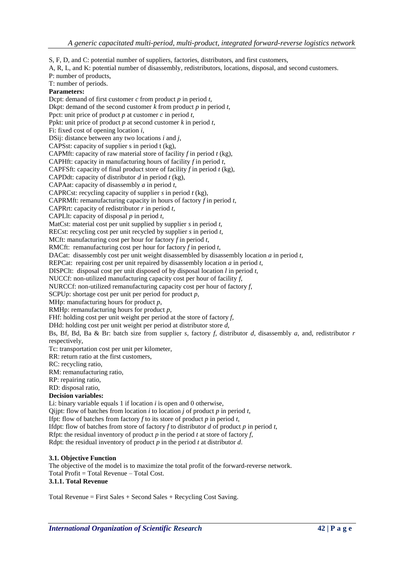S, F, D, and C: potential number of suppliers, factories, distributors, and first customers,

A, R, L, and K: potential number of disassembly, redistributors, locations, disposal, and second customers.

P: number of products,

T: number of periods.

### **Parameters:**

Dcpt: demand of first customer *c* from product *p* in period *t*,

Dkpt: demand of the second customer *k* from product *p* in period *t*,

Ppct: unit price of product *p* at customer *c* in period *t*,

Ppkt: unit price of product *p* at second customer *k* in period *t*,

Fi: fixed cost of opening location *i*,

DSij: distance between any two locations *i* and *j*,

CAPSst: capacity of supplier s in period t (kg),

CAPMft: capacity of raw material store of facility  $f$  in period  $t$  (kg),

CAPHft: capacity in manufacturing hours of facility *f* in period *t*,

CAPFSft: capacity of final product store of facility *f* in period *t* (kg),

CAPDdt: capacity of distributor *d* in period *t* (kg),

CAPAat: capacity of disassembly *a* in period *t*,

CAPRCst: recycling capacity of supplier *s* in period *t* (kg),

CAPRMft: remanufacturing capacity in hours of factory *f* in period *t*,

CAPRrt: capacity of redistributor *r* in period *t*,

CAPLlt: capacity of disposal *p* in period *t*,

MatCst: material cost per unit supplied by supplier *s* in period *t*,

RECst: recycling cost per unit recycled by supplier *s* in period *t*,

MCft: manufacturing cost per hour for factory *f* in period *t*,

RMCft: remanufacturing cost per hour for factory *f* in period *t*,

DACat: disassembly cost per unit weight disassembled by disassembly location *a* in period *t*,

REPCat: repairing cost per unit repaired by disassembly location *a* in period *t*,

DISPClt: disposal cost per unit disposed of by disposal location *l* in period *t*,

NUCCf: non-utilized manufacturing capacity cost per hour of facility *f*,

NURCCf: non-utilized remanufacturing capacity cost per hour of factory *f,*

SCPUp: shortage cost per unit per period for product *p*,

MHp: manufacturing hours for product *p*,

RMHp: remanufacturing hours for product *p*,

FHf: holding cost per unit weight per period at the store of factory *f*,

DHd: holding cost per unit weight per period at distributor store *d*,

Bs, Bf, Bd, Ba & Br: batch size from supplier *s*, factory *f*, distributor *d*, disassembly *a*, and, redistributor *r* respectively,

Tc: transportation cost per unit per kilometer,

RR: return ratio at the first customers,

RC: recycling ratio,

RM: remanufacturing ratio,

RP: repairing ratio,

RD: disposal ratio,

### **Decision variables:**

Li: binary variable equals 1 if location *i* is open and 0 otherwise,

Qijpt: flow of batches from location *i* to location *j* of product *p* in period *t*,

Ifpt: flow of batches from factory  $f$  to its store of product  $p$  in period  $t$ ,

If dpt: flow of batches from store of factory *f* to distributor *d* of product *p* in period *t*,

Rfpt: the residual inventory of product  $p$  in the period  $t$  at store of factory  $f$ ,

Rdpt: the residual inventory of product  $p$  in the period  $t$  at distributor  $d$ .

#### **3.1. Objective Function**

The objective of the model is to maximize the total profit of the forward-reverse network. Total Profit = Total Revenue – Total Cost. **3.1.1. Total Revenue**

Total Revenue = First Sales + Second Sales + Recycling Cost Saving.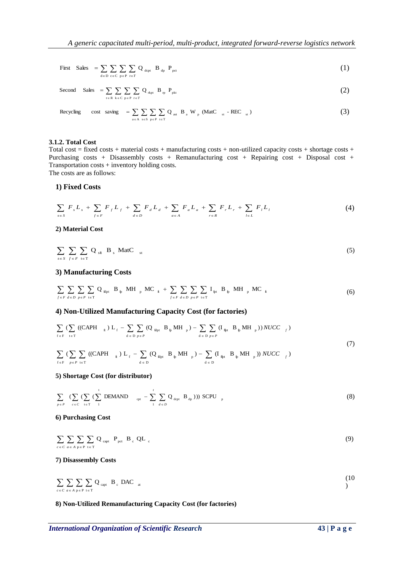First Sales 
$$
= \sum_{d \in D} \sum_{c \in C} \sum_{p \in P} \sum_{t \in T} Q_{dcpt} B_{dp} P_{pct}
$$
 (1)

Second Sales 
$$
= \sum_{r \in R} \sum_{k \in C} \sum_{p \in P} \sum_{t \in T} Q_{r k p t} B_{r p} P_{p k t}
$$
 (2)

Recyclicing cost saving 
$$
= \sum_{a \in A} \sum_{s \in S} \sum_{p \in P} \sum_{t \in T} Q_{ast} B_{a} W_{p} (MatC_{st} - REC_{st})
$$
 (3)

#### **3.1.2. Total Cost**

Total cost = fixed costs + material costs + manufacturing costs + non-utilized capacity costs + shortage costs + Purchasing costs + Disassembly costs + Remanufacturing cost + Repairing cost + Disposal cost + Transportation costs + inventory holding costs. The costs are as follows:

#### **1) Fixed Costs**

$$
\sum_{s \in S} F_s L_s + \sum_{f \in F} F_f L_f + \sum_{d \in D} F_d L_d + \sum_{a \in A} F_a L_a + \sum_{r \in R} F_r L_r + \sum_{l \in L} F_l L_l \tag{4}
$$

### **2) Material Cost**

$$
\sum_{s \in S} \sum_{f \in F} \sum_{t \in T} Q_{sft} B_s \text{ MatC}_{st} \tag{5}
$$

#### **3) Manufacturing Costs**

$$
\sum_{f \in F} \sum_{d \in D} \sum_{p \in P} \sum_{t \in T} Q_{\text{fipt}} B_{\text{fp}} M H_{p} M C_{\text{f}} + \sum_{f \in F} \sum_{d \in D} \sum_{p \in P} \sum_{t \in T} I_{\text{fp}} B_{\text{fp}} M H_{p} M C_{\text{f}}
$$
(6)

### **4) Non-Utilized Manufacturing Capacity Cost (for factories)**

$$
\sum_{f \in F} (\sum_{t \in T} ((CAPH_{\text{f}}) L_f - \sum_{d \in D} \sum_{p \in P} (Q_{\text{fipt}} B_{\text{fp}} MH_{p}) - \sum_{d \in D} \sum_{p \in P} (I_{\text{fipt}} B_{\text{fp}} MH_{p})) NUCC_{f})
$$
\n(7)

$$
\sum_{f\in F} \big(\sum_{p\in P}\sum_{t\in T}\;((CAPH\textcolor{red}{_{\hspace{-1.8pt}f}})\;L\textcolor{red}{_f}-\sum_{d\;\in\;D}(Q\textcolor{red}{_{\hspace{-1.8pt}f\!p}}\;B\textcolor{red}{_{\hspace{-1.8pt}f\!p}}\;MH\textcolor{red}{_{\hspace{-1.8pt}p}})-\sum_{d\;\in\;D}(I\textcolor{red}{_{\hspace{-1.8pt}f\!p}}\;B\textcolor{red}{_{\hspace{-1.8pt}f\!p}}\;MH\textcolor{red}{_{\hspace{-1.8pt}p}}))\;NUCC\textcolor{red}{_{\hspace{-1.8pt}f\!f}})
$$

#### **5) Shortage Cost (for distributor)**

$$
\sum_{p \in P} \sum_{c \in C} \sum_{t \in T} \sum_{l}^{t} \text{DEMAND}_{qpt} - \sum_{l}^{t} \sum_{d \in D} Q_{dqpt} B_{dp}) ) \text{ SCPU}_{p}
$$
 (8)

#### **6) Purchasing Cost**

$$
\sum_{c \in C} \sum_{a \in A} \sum_{p \in P} \sum_{t \in T} Q_{capt} P_{pct} B_c QL_c
$$
\n(9)

#### **7) Disassembly Costs**

$$
\sum_{c \in C} \sum_{a \in A} \sum_{p \in P} \sum_{t \in T} Q_{capt} B_c \, DAC_{at} \tag{10}
$$

#### **8) Non-Utilized Remanufacturing Capacity Cost (for factories)**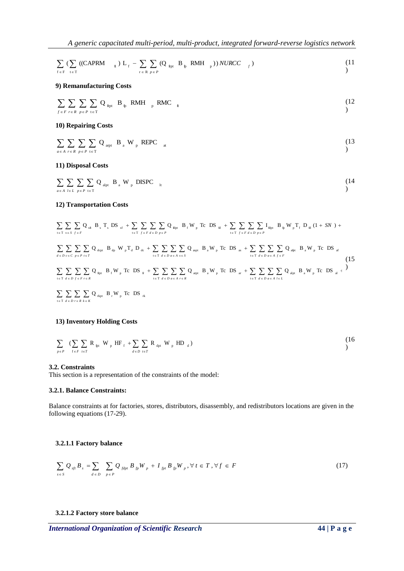$$
\sum_{f \in F} (\sum_{t \in T} ((CAPRM_{f}) L_{f} - \sum_{r \in R} \sum_{p \in P} (Q_{fpt} B_{fp} RMH_{p})) NURCC_{f})
$$
\n(11)

#### **9) Remanufacturing Costs**

$$
\sum_{f \in F} \sum_{r \in R} \sum_{p \in P} \sum_{t \in T} Q_{fpt} B_{fpt} RMH_{p} RMC_{fft} \qquad (12)
$$

#### **10) Repairing Costs**

$$
\sum_{a \in A} \sum_{r \in R} \sum_{p \in P} \sum_{t \in T} Q_{\text{apt}} B_{a} W_{p} \text{REPC}_{at} \tag{13}
$$

#### **11) Disposal Costs**

$$
\sum_{a \in A} \sum_{l \in L} \sum_{p \in P} \sum_{t \in T} Q_{a l p t} B_{a} W_{p} DISPC_{l t}
$$
\n(14)

#### **12) Transportation Costs**

$$
\sum_{\tau \in T} \sum_{s \in S} \sum_{f \in F} Q_{\tau \notin B} B_{s} T_{s} DS_{\tau \notin \sum} \sum_{\tau \in T} \sum_{f \in F} \sum_{d \in D} Q_{\tau \notin P} B_{f} W_{p} T_{C} DS_{\tilde{\tau}i} + \sum_{\tau \in T} \sum_{f \in F} \sum_{d \in D} \sum_{p \in P} \sum_{p \in P} I_{\tilde{\tau}i p} B_{\tilde{\tau}i} W_{p} T_{f} D_{\tilde{\tau}i} (1 + SN) +
$$
\n
$$
\sum_{d \in D} \sum_{c \in C} \sum_{p \in P} \sum_{\tau \in T} Q_{\tau \notin \tau} B_{dp} W_{p} T_{d} D_{dc} + \sum_{\tau \in T} \sum_{d \in D} \sum_{d \in A} \sum_{s \in S} Q_{\tau \notin \tau} B_{a} W_{p} T_{C} DS_{\tau \in \sum_{\tau \in T} \sum_{d \in D} \sum_{d \in A} \sum_{f \in F} Q_{\tau \notin \tau} B_{f} W_{p} T_{C} DS_{\tilde{\tau}i}
$$
\n
$$
\sum_{\tau \in T} \sum_{d \in D} \sum_{f \in F} \sum_{r \in R} Q_{\tilde{\tau}i p t} B_{f} W_{p} T_{C} DS_{f} + \sum_{\tau \in T} \sum_{d \in D} \sum_{d \in A} \sum_{r \in R} Q_{\tau \in \sum_{\tau \in R} \sum_{d \in D} \sum_{d \in A} \sum_{l \in L} Q_{\tau \in \sum_{\tau \in R} \sum_{d \in D} \sum_{d \in A} \sum_{l \in L} \sum_{d \in D} Q_{\tau \in \hat{\tau}i} B_{f} W_{p} T_{C} DS_{\tau i}
$$
\n
$$
\sum_{\tau \in T} \sum_{d \in D} \sum_{r \in R} \sum_{k \in K} Q_{\tau k p t} B_{f} W_{p} T_{C} DS_{r k}
$$
\n
$$
(15)
$$

#### **13) Inventory Holding Costs**

$$
\sum_{p \in P} \sum_{f \in F} \sum_{t \in T} R_{\text{ fpt}} W_p HF_f + \sum_{d \in D} \sum_{t \in T} R_{\text{ dpt}} W_p HD_{d}) \tag{16}
$$

#### **3.2. Constraints**

This section is a representation of the constraints of the model:

#### **3.2.1. Balance Constraints:**

Balance constraints at for factories, stores, distributors, disassembly, and redistributors locations are given in the following equations (17-29).

#### **3.2.1.1 Factory balance**

$$
\sum_{s \in S} Q_{sf} B_s = \sum_{d \in D} \sum_{p \in P} Q_{f d p t} B_{fp} W_{p} + I_{f p t} B_{fp} W_{p}, \forall t \in T, \forall f \in F
$$
\n(17)

#### **3.2.1.2 Factory store balance**

*International Organization of Scientific Research* **44 | P a g e**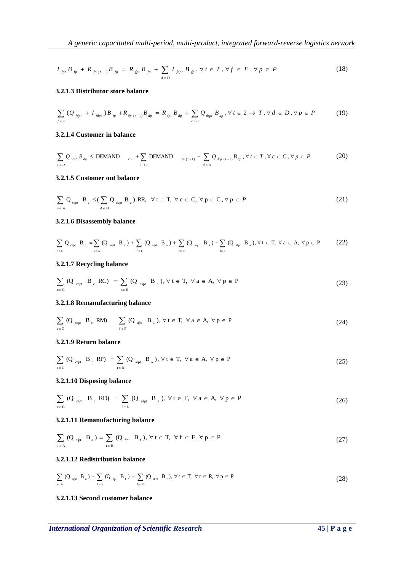$$
I_{\text{fpr}} B_{\text{fpr}} + R_{\text{fpr}(t-1)} B_{\text{fpr}} = R_{\text{fpr}} B_{\text{fpr}} + \sum_{d \in D} I_{\text{fapr}} B_{\text{fpr}}, \forall t \in T, \forall f \in F, \forall p \in P
$$
\n(18)

#### **3.2.1.3 Distributor store balance**

$$
\sum_{f \in F} (Q_{f dpt} + I_{f dpt}) B_{fp} + R_{dp (t-1)} B_{dp} = R_{dpt} B_{dp} + \sum_{c \in C} Q_{dcpt} B_{dp}, \forall t \in 2 \to T, \forall d \in D, \forall p \in P
$$
 (19)

#### **3.2.1.4 Customer in balance**

$$
\sum_{d \in D} Q_{\text{dept}} B_{\text{dp}} \leq \text{DEMAND} \quad \underset{1 \to t}{\longrightarrow} + \sum_{1 \to t} \text{DEMAND} \quad \underset{d \in D}{\longrightarrow} - \sum_{d \in D} Q_{\text{dep } (t-1)} B_{\text{dp}}, \forall t \in T, \forall c \in C, \forall p \in P
$$
 (20)

### **3.2.1.5 Customer out balance**

$$
\sum_{a \in A} Q_{\text{capt}} B_c \leq (\sum_{d \in D} Q_{\text{dept}} B_d) RR, \ \forall \ t \in T, \ \forall \ c \in C, \ \forall \ p \in C, \forall \ p \in P
$$
\n
$$
(21)
$$

### **3.2.1.6 Disassembly balance**

$$
\sum_{c \in C} Q_{\text{capt}} \ B_{c} = \sum_{s \in S} \left( Q_{\text{aspt}} \ B_{a} \right) + \sum_{f \in F} \left( Q_{\text{apt}} \ B_{a} \right) + \sum_{r \in R} \left( Q_{\text{arpt}} \ B_{a} \right) + \sum_{l \in L} \left( Q_{\text{alpt}} \ B_{a} \right), \forall \ t \in T, \ \forall \ a \in A, \ \forall \ p \in P
$$
 (22)

### **3.2.1.7 Recycling balance**

$$
\sum_{c \in C} (Q_{\text{capt}} B_c RC) = \sum_{s \in S} (Q_{\text{aspt}} B_a), \forall t \in T, \forall a \in A, \forall p \in P
$$
\n(23)

### **3.2.1.8 Remanufacturing balance**

$$
\sum_{c \in C} (Q_{cap} B_c RM) = \sum_{f \in F} (Q_{apt} B_a), \forall t \in T, \forall a \in A, \forall p \in P
$$
\n(24)

### **3.2.1.9 Return balance**

$$
\sum_{c \in C} (Q_{\text{capt}} B_c RP) = \sum_{r \in R} (Q_{\text{apt}} B_a), \forall t \in T, \forall a \in A, \forall p \in P
$$
\n(25)

### **3.2.1.10 Disposing balance**

$$
\sum_{c \in C} (Q_{\text{capt}} \ B_{c} \ RD) = \sum_{l \in L} (Q_{\text{alpt}} \ B_{a}), \forall t \in T, \ \forall a \in A, \ \forall p \in P
$$
 (26)

#### **3.2.1.11 Remanufacturing balance**

$$
\sum_{a \in A} (Q_{\text{apt}} \ B_{a}) = \sum_{r \in R} (Q_{\text{ipt}} \ B_{f}), \forall t \in T, \ \forall f \in F, \ \forall p \in P
$$
\n
$$
(27)
$$

### **3.2.1.12 Redistribution balance**

$$
\sum_{a \in A} (Q_{\text{apt}} B_a) + \sum_{f \in F} (Q_{\text{fpt}} B_f) = \sum_{k \in K} (Q_{\text{rkt}} B_r), \forall t \in T, \forall r \in R, \forall p \in P
$$
\n(28)

#### **3.2.1.13 Second customer balance**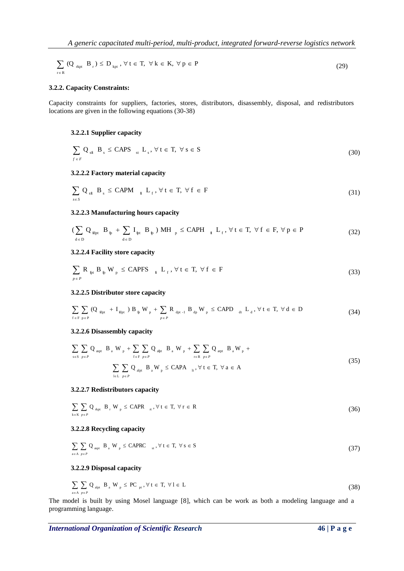$$
\sum_{r \in R} (Q_{r k p t} B_r) \le D_{k p t}, \forall t \in T, \forall k \in K, \forall p \in P
$$
\n(29)

#### **3.2.2. Capacity Constraints:**

Capacity constraints for suppliers, factories, stores, distributors, disassembly, disposal, and redistributors locations are given in the following equations (30-38)

### **3.2.2.1 Supplier capacity**

$$
\sum_{f \in F} Q_{\text{sf}} B_{s} \leq \text{CAPS}_{\text{sf}} L_{s}, \forall t \in T, \forall s \in S
$$
\n(30)

#### **3.2.2.2 Factory material capacity**

$$
\sum_{s \in S} Q_{st} B_s \leq \text{CAPM}_{t} L_f, \forall t \in T, \forall f \in F
$$
\n(31)

### **3.2.2.3 Manufacturing hours capacity**

$$
(\sum_{d\in D}Q_{\text{tilp}}\ B_{\text{fp}}\ + \sum_{d\in D}I_{\text{fpt}}\ B_{\text{fp}})\ \text{MH}_{\text{p}}\leq\text{CAPH}_{\text{f}}\ L_{\text{f}}\,,\,\forall\,t\in T,\,\,\forall\,f\,\in F,\,\forall\,p\in P\tag{32}
$$

### **3.2.2.4 Facility store capacity**

$$
\sum_{p \in P} R_{\text{pt}} B_{\text{pt}} W_p \leq \text{CAPFS}_{\text{ft}} L_f, \forall t \in T, \forall f \in F
$$
\n(33)

### **3.2.2.5 Distributor store capacity**

$$
\sum_{f \in F} \sum_{p \in P} (Q_{\hat{u}_{pt}} + I_{\hat{u}_{pt}}) B_{\hat{\psi}} W_{p} + \sum_{p \in P} R_{\hat{d}p t-1} B_{\hat{d}p} W_{p} \leq CAPD_{\hat{d}t} L_{d}, \forall t \in T, \forall d \in D
$$
\n(34)

#### **3.2.2.6 Disassembly capacity**

$$
\sum_{s \in S} \sum_{p \in P} Q_{\text{aspt}} B_{a} W_{p} + \sum_{f \in F} \sum_{p \in P} Q_{\text{apt}} B_{a} W_{p} + \sum_{r \in R} \sum_{p \in P} Q_{\text{arpt}} B_{a} W_{p} + \sum_{f \in R} \sum_{p \in P} Q_{\text{arpt}} B_{a} W_{p}
$$
\n
$$
\sum_{l \in L} \sum_{p \in P} Q_{\text{alpt}} B_{a} W_{p} \leq \text{CAPA}_{l_{t}}, \forall t \in T, \forall a \in A
$$
\n(35)

#### **3.2.2.7 Redistributors capacity**

$$
\sum_{k \in K} \sum_{p \in P} Q_{kpt} B_r W_p \leq CAPR_{\pi}, \forall t \in T, \forall r \in R
$$
\n(36)

### **3.2.2.8 Recycling capacity**

$$
\sum_{a \in A} \sum_{p \in P} Q_{\text{aspt}} B_a W_p \leq \text{CAPRC}_{st}, \forall t \in T, \forall s \in S
$$
\n(37)

#### **3.2.2.9 Disposal capacity**

$$
\sum_{a \in A} \sum_{p \in P} Q_{apt} B_a W_p \leq PC_{pt}, \forall t \in T, \forall l \in L
$$
\n(38)

The model is built by using Mosel language [8], which can be work as both a modeling language and a programming language.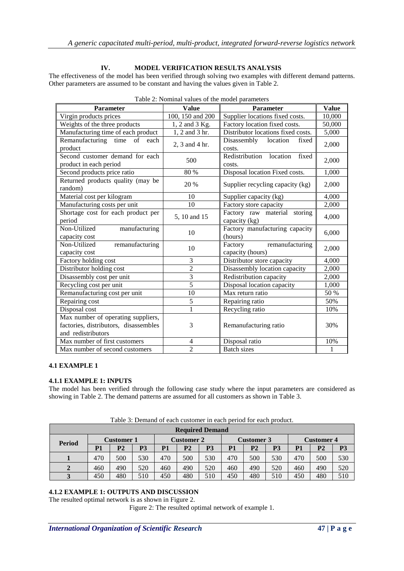### **IV. MODEL VERIFICATION RESULTS ANALYSIS**

The effectiveness of the model has been verified through solving two examples with different demand patterns. Other parameters are assumed to be constant and having the values given in Table 2.

| <b>Parameter</b>                                                                                  | <b>Value</b>     | <b>Parameter</b>                               | <b>Value</b> |
|---------------------------------------------------------------------------------------------------|------------------|------------------------------------------------|--------------|
| Virgin products prices                                                                            | 100, 150 and 200 | Supplier locations fixed costs.                | 10,000       |
| Weights of the three products                                                                     | 1, 2 and 3 Kg.   | Factory location fixed costs.                  | 50,000       |
| Manufacturing time of each product                                                                | 1, 2 and 3 hr.   | Distributor locations fixed costs.             | 5,000        |
| Remanufacturing time<br>of<br>each<br>product                                                     | 2, 3 and 4 hr.   | Disassembly<br>location<br>fixed<br>costs.     | 2,000        |
| Second customer demand for each<br>product in each period                                         | 500              | Redistribution<br>location<br>fixed<br>costs.  | 2,000        |
| Second products price ratio                                                                       | 80 %             | Disposal location Fixed costs.                 | 1,000        |
| Returned products quality (may be<br>random)                                                      | 20 %             | Supplier recycling capacity (kg)               | 2,000        |
| Material cost per kilogram                                                                        | 10               | Supplier capacity (kg)                         | 4,000        |
| Manufacturing costs per unit                                                                      | 10               | Factory store capacity                         | 2,000        |
| Shortage cost for each product per<br>period                                                      | 5, 10 and 15     | Factory raw material storing<br>capacity (kg)  | 4,000        |
| Non-Utilized<br>manufacturing<br>capacity cost                                                    | 10               | Factory manufacturing capacity<br>(hours)      | 6,000        |
| Non-Utilized<br>remanufacturing<br>capacity cost                                                  | 10               | remanufacturing<br>Factory<br>capacity (hours) | 2,000        |
| Factory holding cost                                                                              | 3                | Distributor store capacity                     | 4,000        |
| Distributor holding cost                                                                          | $\overline{2}$   | Disassembly location capacity                  | 2,000        |
| Disassembly cost per unit                                                                         | 3                | Redistribution capacity                        | 2,000        |
| Recycling cost per unit                                                                           | $\overline{5}$   | Disposal location capacity                     | 1,000        |
| Remanufacturing cost per unit                                                                     | 10               | Max return ratio                               | 50 %         |
| Repairing cost                                                                                    | 5                | Repairing ratio                                | 50%          |
| Disposal cost                                                                                     | 1                | Recycling ratio                                | 10%          |
| Max number of operating suppliers,<br>factories, distributors, disassembles<br>and redistributors | 3                | Remanufacturing ratio                          | 30%          |
| Max number of first customers                                                                     | $\overline{4}$   | Disposal ratio                                 | 10%          |
| Max number of second customers                                                                    | $\overline{2}$   | <b>Batch sizes</b>                             | 1            |

|  | Table 2: Nominal values of the model parameters |
|--|-------------------------------------------------|
|  |                                                 |

### **4.1 EXAMPLE 1**

### **4.1.1 EXAMPLE 1: INPUTS**

The model has been verified through the following case study where the input parameters are considered as showing in Table 2. The demand patterns are assumed for all customers as shown in Table 3.

|                |                                                                                  |                |     |     |                | <b>Required Demand</b> |           |                |                |     |                |                |
|----------------|----------------------------------------------------------------------------------|----------------|-----|-----|----------------|------------------------|-----------|----------------|----------------|-----|----------------|----------------|
| <b>Period</b>  | <b>Customer 2</b><br><b>Customer 3</b><br><b>Customer 1</b><br><b>Customer 4</b> |                |     |     |                |                        |           |                |                |     |                |                |
|                | P1                                                                               | P <sub>2</sub> | P3  | P1  | P <sub>2</sub> | P <sub>3</sub>         | <b>P1</b> | P <sub>2</sub> | P <sub>3</sub> | P1  | P <sub>2</sub> | P <sub>3</sub> |
|                | 470                                                                              | 500            | 530 | 470 | 500            | 530                    | 470       | 500            | 530            | 470 | 500            | 530            |
| $\overline{2}$ | 460                                                                              | 490            | 520 | 460 | 490            | 520                    | 460       | 490            | 520            | 460 | 490            | 520            |
| 3              | 450                                                                              | 480            | 510 | 450 | 480            | 510                    | 450       | 480            | 510            | 450 | 480            | 510            |

Table 3: Demand of each customer in each period for each product.

### **4.1.2 EXAMPLE 1: OUTPUTS AND DISCUSSION**

The resulted optimal network is as shown in Figure 2.

Figure 2: The resulted optimal network of example 1.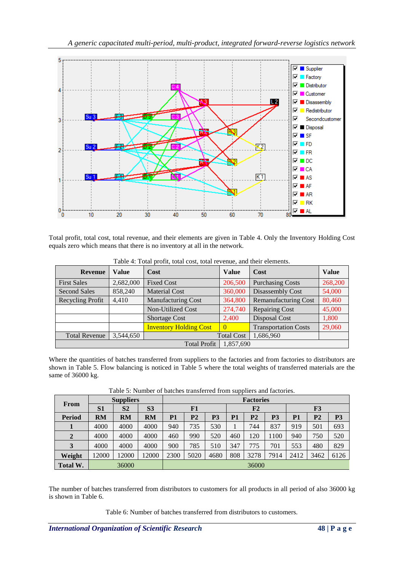

Total profit, total cost, total revenue, and their elements are given in Table 4. Only the Inventory Holding Cost equals zero which means that there is no inventory at all in the network.

| <b>Revenue</b>       | Value     | Cost                          | <b>Value</b>      | Cost                        | <b>Value</b> |
|----------------------|-----------|-------------------------------|-------------------|-----------------------------|--------------|
| <b>First Sales</b>   | 2,682,000 | <b>Fixed Cost</b>             | 206,500           | <b>Purchasing Costs</b>     | 268,200      |
| <b>Second Sales</b>  | 858,240   | <b>Material Cost</b>          | 360,000           | Disassembly Cost            | 54,000       |
| Recycling Profit     | 4,410     | <b>Manufacturing Cost</b>     | 364,800           | <b>Remanufacturing Cost</b> | 80,460       |
|                      |           | Non-Utilized Cost             | 274,740           | <b>Repairing Cost</b>       | 45,000       |
|                      |           | <b>Shortage Cost</b>          | 2.400             | Disposal Cost               | 1,800        |
|                      |           | <b>Inventory Holding Cost</b> |                   | <b>Transportation Costs</b> | 29,060       |
| <b>Total Revenue</b> | 3,544,650 |                               | <b>Total Cost</b> | 1,686,960                   |              |
|                      |           | <b>Total Profit</b>           | 1,857,690         |                             |              |

Table 4: Total profit, total cost, total revenue, and their elements.

Where the quantities of batches transferred from suppliers to the factories and from factories to distributors are shown in Table 5. Flow balancing is noticed in Table 5 where the total weights of transferred materials are the same of 36000 kg.

Table 5: Number of batches transferred from suppliers and factories.

| From            | <b>Suppliers</b> |                |                |                | <b>Factories</b> |                |           |                |                |           |                |                |  |
|-----------------|------------------|----------------|----------------|----------------|------------------|----------------|-----------|----------------|----------------|-----------|----------------|----------------|--|
|                 | S <sub>1</sub>   | S <sub>2</sub> | S <sub>3</sub> | F1             |                  |                | F2        |                |                | F3        |                |                |  |
| <b>Period</b>   | RM               | RM             | <b>RM</b>      | P <sub>1</sub> | P <sub>2</sub>   | P <sub>3</sub> | <b>P1</b> | P <sub>2</sub> | P <sub>3</sub> | <b>P1</b> | P <sub>2</sub> | P <sub>3</sub> |  |
|                 | 4000             | 4000           | 4000           | 940            | 735              | 530            |           | 744            | 837            | 919       | 501            | 693            |  |
| $\overline{2}$  | 4000             | 4000           | 4000           | 460            | 990              | 520            | 460       | 120            | 1100           | 940       | 750            | 520            |  |
| 3               | 4000             | 4000           | 4000           | 900            | 785              | 510            | 347       | 775            | 701            | 553       | 480            | 829            |  |
| Weight          | 12000            | 12000          | 12000          | 2300           | 5020             | 4680           | 808       | 3278           | 7914           | 2412      | 3462           | 6126           |  |
| <b>Total W.</b> |                  | 36000          |                |                |                  |                |           | 36000          |                |           |                |                |  |

The number of batches transferred from distributors to customers for all products in all period of also 36000 kg is shown in Table 6.

Table 6: Number of batches transferred from distributors to customers.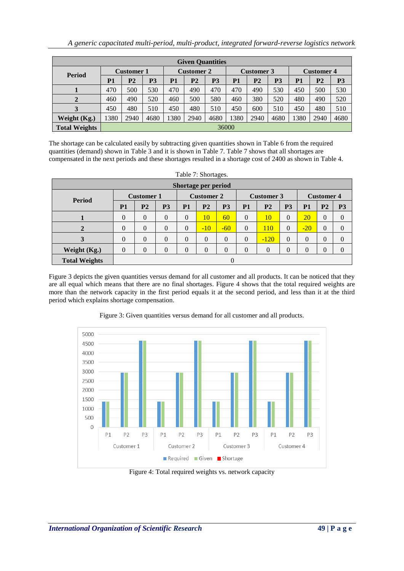*A generic capacitated multi-period, multi-product, integrated forward-reverse logistics network* 

|                      | <b>Given Quantities</b> |                   |      |                   |                |                |                   |                |                |                |                   |                |  |  |
|----------------------|-------------------------|-------------------|------|-------------------|----------------|----------------|-------------------|----------------|----------------|----------------|-------------------|----------------|--|--|
| <b>Period</b>        |                         | <b>Customer 1</b> |      | <b>Customer 2</b> |                |                | <b>Customer 3</b> |                |                |                | <b>Customer 4</b> |                |  |  |
|                      | P1<br><b>P2</b><br>P3   |                   |      | Р1                | P <sub>2</sub> | P <sub>3</sub> | <b>P1</b>         | P <sub>2</sub> | P <sub>3</sub> | P <sub>1</sub> | P <sub>2</sub>    | P <sub>3</sub> |  |  |
|                      | 470                     | 500               | 530  | 470               | 490            | 470            | 470               | 490            | 530            | 450            | 500               | 530            |  |  |
| $\overline{2}$       | 460                     | 490               | 520  | 460               | 500            | 580            | 460               | 380            | 520            | 480            | 490               | 520            |  |  |
| 3                    | 450                     | 480               | 510  | 450               | 480            | 510            | 450               | 600            | 510            | 450            | 480               | 510            |  |  |
| Weight $(Kg.)$       | 1380                    | 2940              | 4680 | 1380              | 2940           | 4680           | 1380              | 2940           | 4680           | 1380           | 2940              | 4680           |  |  |
| <b>Total Weights</b> |                         | 36000             |      |                   |                |                |                   |                |                |                |                   |                |  |  |

The shortage can be calculated easily by subtracting given quantities shown in Table 6 from the required quantities (demand) shown in Table 3 and it is shown in Table 7. Table 7 shows that all shortages are compensated in the next periods and these shortages resulted in a shortage cost of 2400 as shown in Table 4.

|                      | Shortage per period                                                              |                |                |           |                |                |           |                |                |           |                |                |  |  |
|----------------------|----------------------------------------------------------------------------------|----------------|----------------|-----------|----------------|----------------|-----------|----------------|----------------|-----------|----------------|----------------|--|--|
| <b>Period</b>        | <b>Customer 3</b><br><b>Customer 4</b><br><b>Customer 1</b><br><b>Customer 2</b> |                |                |           |                |                |           |                |                |           |                |                |  |  |
|                      | <b>P1</b>                                                                        | P <sub>2</sub> | P <sub>3</sub> | <b>P1</b> | P <sub>2</sub> | P <sub>3</sub> | <b>P1</b> | P <sub>2</sub> | P <sub>3</sub> | <b>P1</b> | P <sub>2</sub> | P <sub>3</sub> |  |  |
|                      | 0                                                                                | $\theta$       | $\theta$       | $\Omega$  | 10             | 60             | $\theta$  | 10             | $\Omega$       | <b>20</b> | $\theta$       | $\theta$       |  |  |
| $\mathbf{2}$         | 0                                                                                | $\theta$       | $\theta$       | $\Omega$  | $-10$          | $-60$          | $\Omega$  | 110            | $\Omega$       | $-20$     | $\Omega$       | $\theta$       |  |  |
| 3                    | $\theta$                                                                         | $\theta$       | $\theta$       | $\Omega$  | $\Omega$       | $\Omega$       | $\Omega$  | $-120$         | $\Omega$       | $\theta$  | $\theta$       | $\theta$       |  |  |
| Weight (Kg.)         | $\theta$                                                                         | $\theta$       | $\theta$       | $\theta$  | $\theta$       | $\theta$       | $\Omega$  | $\theta$       | $\Omega$       | $\Omega$  | 0              | $\Omega$       |  |  |
| <b>Total Weights</b> |                                                                                  |                |                |           |                | $\theta$       |           |                |                |           |                |                |  |  |

Figure 3 depicts the given quantities versus demand for all customer and all products. It can be noticed that they are all equal which means that there are no final shortages. Figure 4 shows that the total required weights are more than the network capacity in the first period equals it at the second period, and less than it at the third period which explains shortage compensation.



Figure 3: Given quantities versus demand for all customer and all products.

Figure 4: Total required weights vs. network capacity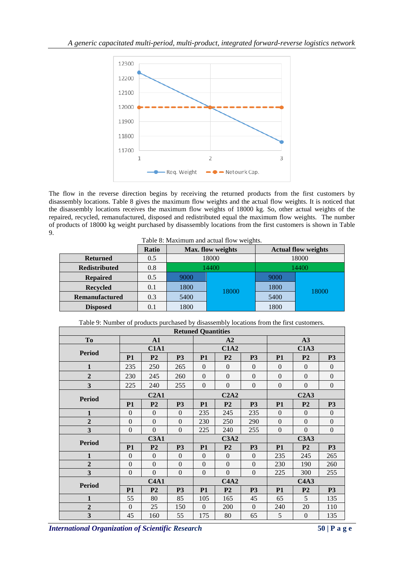

The flow in the reverse direction begins by receiving the returned products from the first customers by disassembly locations. Table 8 gives the maximum flow weights and the actual flow weights. It is noticed that the disassembly locations receives the maximum flow weights of 18000 kg. So, other actual weights of the repaired, recycled, remanufactured, disposed and redistributed equal the maximum flow weights. The number of products of 18000 kg weight purchased by disassembly locations from the first customers is shown in Table 9.

Table 8: Maximum and actual flow weights.

|                       | <b>Ratio</b> |      | Max. flow weights | <b>Actual flow weights</b> |       |  |
|-----------------------|--------------|------|-------------------|----------------------------|-------|--|
| <b>Returned</b>       | 0.5          |      | 18000             | 18000                      |       |  |
| <b>Redistributed</b>  | 0.8          |      | 14400             | 14400                      |       |  |
| <b>Repaired</b>       | 0.5          | 9000 |                   | 9000                       |       |  |
| <b>Recycled</b>       | 0.1          | 1800 | 18000             | 1800                       | 18000 |  |
| <b>Remanufactured</b> | 0.3          | 5400 |                   | 5400                       |       |  |
| <b>Disposed</b>       | 0.1          | 1800 |                   | 1800                       |       |  |

Table 9: Number of products purchased by disassembly locations from the first customers.

|                         | <b>Retuned Quantities</b> |                |                |                  |                  |                  |                  |                |                  |  |  |  |
|-------------------------|---------------------------|----------------|----------------|------------------|------------------|------------------|------------------|----------------|------------------|--|--|--|
| <b>To</b>               |                           | ${\bf A1}$     |                |                  | A2               |                  |                  | A3             |                  |  |  |  |
|                         |                           | <b>C1A1</b>    |                |                  | C1A2             |                  |                  | C1A3           |                  |  |  |  |
| <b>Period</b>           | P <sub>1</sub>            | P <sub>2</sub> | <b>P3</b>      | P1               | P <sub>2</sub>   | <b>P3</b>        | <b>P1</b>        | P <sub>2</sub> | <b>P3</b>        |  |  |  |
| $\mathbf{1}$            | 235                       | 250            | 265            | $\Omega$         | $\theta$         | $\theta$         | $\Omega$         | $\Omega$       | $\Omega$         |  |  |  |
| $\overline{2}$          | 230                       | 245            | 260            | $\Omega$         | $\theta$         | $\theta$         | $\Omega$         | $\theta$       | $\Omega$         |  |  |  |
| $\overline{\mathbf{3}}$ | 225                       | 240            | 255            | $\boldsymbol{0}$ | $\boldsymbol{0}$ | $\boldsymbol{0}$ | $\overline{0}$   | $\mathbf{0}$   | $\mathbf{0}$     |  |  |  |
|                         | C2A1                      |                |                |                  | C2A2             |                  |                  | C2A3           |                  |  |  |  |
| <b>Period</b>           | <b>P1</b>                 | P <sub>2</sub> | <b>P3</b>      | P1               | P <sub>2</sub>   | <b>P3</b>        | P1               | P <sub>2</sub> | <b>P3</b>        |  |  |  |
| $\mathbf{1}$            | $\Omega$                  | $\Omega$       | $\Omega$       | 235              | 245              | 235              | $\Omega$         | $\overline{0}$ | $\mathbf{0}$     |  |  |  |
| $\boldsymbol{2}$        | $\theta$                  | $\Omega$       | $\Omega$       | 230              | 250              | 290              | $\overline{0}$   | $\overline{0}$ | $\mathbf{0}$     |  |  |  |
| $\overline{\mathbf{3}}$ | $\overline{0}$            | $\Omega$       | $\Omega$       | 225              | 240              | 255              | $\boldsymbol{0}$ | $\theta$       | $\boldsymbol{0}$ |  |  |  |
| <b>Period</b>           |                           | C3A1           |                | C3A2             |                  |                  |                  | C3A3           |                  |  |  |  |
|                         | <b>P1</b>                 | P <sub>2</sub> | P <sub>3</sub> | <b>P1</b>        | P <sub>2</sub>   | P <sub>3</sub>   | <b>P1</b>        | P <sub>2</sub> | P <sub>3</sub>   |  |  |  |
| $\mathbf{1}$            | $\theta$                  | $\Omega$       | $\Omega$       | $\Omega$         | $\mathbf{0}$     | $\Omega$         | 235              | 245            | 265              |  |  |  |
| $\mathbf{2}$            | $\mathbf{0}$              | $\Omega$       | $\Omega$       | $\Omega$         | $\mathbf{0}$     | $\Omega$         | 230              | 190            | 260              |  |  |  |
| $\overline{\mathbf{3}}$ | $\mathbf{0}$              | $\Omega$       | $\Omega$       | $\mathbf{0}$     | $\Omega$         | $\Omega$         | 225              | 300            | 255              |  |  |  |
| <b>Period</b>           |                           | <b>C4A1</b>    |                |                  | C4A2             |                  |                  | C4A3           |                  |  |  |  |
|                         | <b>P1</b>                 | P <sub>2</sub> | P <sub>3</sub> | <b>P1</b>        | P <sub>2</sub>   | P <sub>3</sub>   | <b>P1</b>        | P <sub>2</sub> | P <sub>3</sub>   |  |  |  |
| $\mathbf{1}$            | 55                        | 80             | 85             | 105              | 165              | 45               | 65               | 5              | 135              |  |  |  |
| $\overline{2}$          | $\overline{0}$            | 25             | 150            | $\overline{0}$   | 200              | $\theta$         | 240              | 20             | 110              |  |  |  |
| $\overline{\mathbf{3}}$ | 45                        | 160            | 55             | 175              | 80               | 65               | 5                | $\overline{0}$ | 135              |  |  |  |

*International Organization of Scientific Research* 50 | P a g e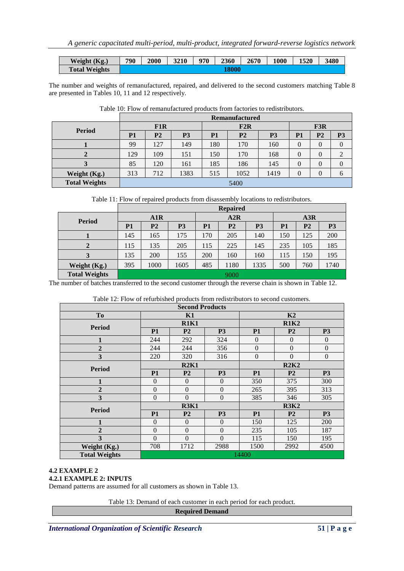| Weight $(Kg.)$       | 790 | 2000 | 3210 | 970 | 2360  | 2670 | 1000 | 1520 | 3480 |
|----------------------|-----|------|------|-----|-------|------|------|------|------|
| <b>Total Weights</b> |     |      |      |     | 18000 |      |      |      |      |

The number and weights of remanufactured, repaired, and delivered to the second customers matching Table 8 are presented in Tables 10, 11 and 12 respectively.

|                      | <b>Remanufactured</b> |                |                |     |                |                |                |                |                |  |  |  |
|----------------------|-----------------------|----------------|----------------|-----|----------------|----------------|----------------|----------------|----------------|--|--|--|
| <b>Period</b>        |                       | F1R            |                |     | F2R            | F3R            |                |                |                |  |  |  |
|                      | P <sub>1</sub>        | P <sub>2</sub> | P <sub>3</sub> | P1  | P <sub>2</sub> | P <sub>3</sub> | <b>P1</b>      | P <sub>2</sub> | P <sub>3</sub> |  |  |  |
|                      | 99                    | 127            | 149            | 180 | 170            | 160            | $\overline{0}$ | 0              | 0              |  |  |  |
|                      | 129                   | 109            | 151            | 150 | 170            | 168            | $\overline{0}$ | 0              | 2              |  |  |  |
| 3                    | 85                    | 120            | 161            | 185 | 186            | 145            | $\overline{0}$ | 0              | 0              |  |  |  |
| Weight (Kg.)         | 313                   | 712            | 1383           | 515 | 1052           | 1419           | 0              |                | O              |  |  |  |
| <b>Total Weights</b> | 5400                  |                |                |     |                |                |                |                |                |  |  |  |

### Table 10: Flow of remanufactured products from factories to redistributors.

Table 11: Flow of repaired products from disassembly locations to redistributors.

|                      |           | <b>Repaired</b> |                |           |                |                |                |                |                |  |  |  |  |
|----------------------|-----------|-----------------|----------------|-----------|----------------|----------------|----------------|----------------|----------------|--|--|--|--|
| <b>Period</b>        |           | A1R             |                |           | A2R            |                | A3R            |                |                |  |  |  |  |
|                      | <b>P1</b> | P <sub>2</sub>  | P <sub>3</sub> | <b>P1</b> | P <sub>2</sub> | P <sub>3</sub> | P <sub>1</sub> | P <sub>2</sub> | P <sub>3</sub> |  |  |  |  |
|                      | 145       | 165             | 175            | 170       | 205            | 140            | 150            | 125            | 200            |  |  |  |  |
|                      | 115       | 135             | 205            | 115       | 225            | 145            | 235            | 105            | 185            |  |  |  |  |
|                      | 135       | 200             | 155            | 200       | 160            | 160            | 115            | 150            | 195            |  |  |  |  |
| Weight (Kg.)         | 395       | 1000            | 1605           | 485       | 1180           | 1335           | 500            | 760            | 1740           |  |  |  |  |
| <b>Total Weights</b> |           |                 |                |           | 9000           |                |                |                |                |  |  |  |  |

The number of batches transferred to the second customer through the reverse chain is shown in Table 12.

| Table 12: Flow of refurbished products from redistributors to second customers. |  |
|---------------------------------------------------------------------------------|--|
|---------------------------------------------------------------------------------|--|

| <b>Second Products</b>                                                                                                        |                |                  |                |                |                |                  |  |  |  |  |
|-------------------------------------------------------------------------------------------------------------------------------|----------------|------------------|----------------|----------------|----------------|------------------|--|--|--|--|
| To                                                                                                                            |                | K1               |                |                | K2             |                  |  |  |  |  |
|                                                                                                                               |                | <b>R1K1</b>      |                |                | R1K2           |                  |  |  |  |  |
|                                                                                                                               | <b>P1</b>      | P <sub>2</sub>   | P <sub>3</sub> | <b>P1</b>      | P <sub>2</sub> | <b>P3</b>        |  |  |  |  |
| $\mathbf{1}$                                                                                                                  | 244            | 292              | 324            | $\overline{0}$ | $\theta$       | $\boldsymbol{0}$ |  |  |  |  |
| $\boldsymbol{2}$                                                                                                              | 244            | 244              | 356            | $\overline{0}$ | $\theta$       | $\boldsymbol{0}$ |  |  |  |  |
| 3                                                                                                                             | 220            | 320              | 316            | $\overline{0}$ | $\theta$       | $\boldsymbol{0}$ |  |  |  |  |
|                                                                                                                               |                | R2K1             |                |                | R2K2           |                  |  |  |  |  |
| <b>Period</b><br><b>Period</b><br>$\mathbf{1}$<br>$\overline{2}$<br>3<br><b>Period</b><br>$\mathbf{1}$<br>$\overline{2}$<br>3 | <b>P1</b>      | P <sub>2</sub>   | P <sub>3</sub> | <b>P1</b>      | P <sub>2</sub> | P <sub>3</sub>   |  |  |  |  |
|                                                                                                                               | $\theta$       | $\theta$         | $\mathbf{0}$   | 350            | 375            | 300              |  |  |  |  |
|                                                                                                                               | $\theta$       | $\theta$         | $\theta$       | 265            | 395            | 313              |  |  |  |  |
|                                                                                                                               | $\overline{0}$ | $\overline{0}$   | $\theta$       | 385            | 346            | 305              |  |  |  |  |
|                                                                                                                               |                | <b>R3K1</b>      |                |                | R3K2           |                  |  |  |  |  |
|                                                                                                                               | <b>P1</b>      | P <sub>2</sub>   | P <sub>3</sub> | <b>P1</b>      | P <sub>2</sub> | P <sub>3</sub>   |  |  |  |  |
|                                                                                                                               | $\mathbf{0}$   | $\boldsymbol{0}$ | $\mathbf{0}$   | 150            | 125            | 200              |  |  |  |  |
|                                                                                                                               | $\theta$       | $\Omega$         | $\theta$       | 235            | 105            | 187              |  |  |  |  |
|                                                                                                                               | $\overline{0}$ | $\overline{0}$   | $\overline{0}$ | 115            | 150            | 195              |  |  |  |  |
| Weight (Kg.)                                                                                                                  | 708            | 1712             | 2988           | 1500           | 2992           | 4500             |  |  |  |  |
| <b>Total Weights</b>                                                                                                          |                |                  |                | 14400          |                |                  |  |  |  |  |

### **4.2 EXAMPLE 2**

### **4.2.1 EXAMPLE 2: INPUTS**

Demand patterns are assumed for all customers as shown in Table 13.

Table 13: Demand of each customer in each period for each product.

**Required Demand**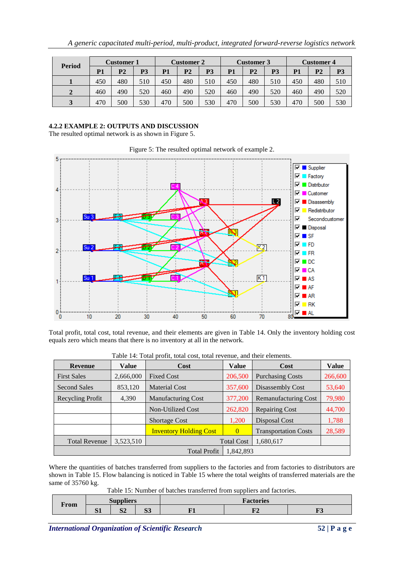| <b>Period</b>     |     | <b>Customer 1</b> |     |     | <b>Customer 2</b> |                |                | <b>Customer 3</b> |                |     | <b>Customer 4</b> |     |  |
|-------------------|-----|-------------------|-----|-----|-------------------|----------------|----------------|-------------------|----------------|-----|-------------------|-----|--|
|                   | Р1  | P <sub>2</sub>    | P3  | P1  | P <sub>2</sub>    | P <sub>3</sub> | P <sub>1</sub> | P2                | P <sub>3</sub> | P1  | P <sub>2</sub>    | P3  |  |
|                   | 450 | 480               | 510 | 450 | 480               | 510            | 450            | 480               | 510            | 450 | 480               | 510 |  |
| $\mathbf{2}$      | 460 | 490               | 520 | 460 | 490               | 520            | 460            | 490               | 520            | 460 | 490               | 520 |  |
| $\mathbf{\Omega}$ | 470 | 500               | 530 | 470 | 500               | 530            | 470            | 500               | 530            | 470 | 500               | 530 |  |

### **4.2.2 EXAMPLE 2: OUTPUTS AND DISCUSSION**

The resulted optimal network is as shown in Figure 5.



Total profit, total cost, total revenue, and their elements are given in Table 14. Only the inventory holding cost equals zero which means that there is no inventory at all in the network.

| <b>Revenue</b>       | Value     | Cost                          | <b>Value</b>      | Cost                        | Value   |
|----------------------|-----------|-------------------------------|-------------------|-----------------------------|---------|
| <b>First Sales</b>   | 2,666,000 | <b>Fixed Cost</b>             | 206,500           | <b>Purchasing Costs</b>     | 266,600 |
| <b>Second Sales</b>  | 853,120   | <b>Material Cost</b>          | 357,600           | Disassembly Cost            | 53,640  |
| Recycling Profit     | 4,390     | <b>Manufacturing Cost</b>     | 377,200           | <b>Remanufacturing Cost</b> | 79,980  |
|                      |           | Non-Utilized Cost             | 262,820           | <b>Repairing Cost</b>       | 44,700  |
|                      |           | <b>Shortage Cost</b>          | 1,200             | Disposal Cost               | 1,788   |
|                      |           | <b>Inventory Holding Cost</b> | $\overline{0}$    | <b>Transportation Costs</b> | 28,589  |
| <b>Total Revenue</b> | 3,523,510 |                               | <b>Total Cost</b> | 1,680,617                   |         |
|                      | 1,842,893 |                               |                   |                             |         |

Table 14: Total profit, total cost, total revenue, and their elements.

Where the quantities of batches transferred from suppliers to the factories and from factories to distributors are shown in Table 15. Flow balancing is noticed in Table 15 where the total weights of transferred materials are the same of 35760 kg.

Table 15: Number of batches transferred from suppliers and factories.

| ┳.   |             | <b>Suppliers</b> |              |              | <b>Factories</b> |            |  |  |  |  |
|------|-------------|------------------|--------------|--------------|------------------|------------|--|--|--|--|
| From | $\sim$<br>ᄓ | $\sim$<br>IJΑ    | $\sim$<br>υJ | $\mathbf{r}$ | F2               | T22<br>. . |  |  |  |  |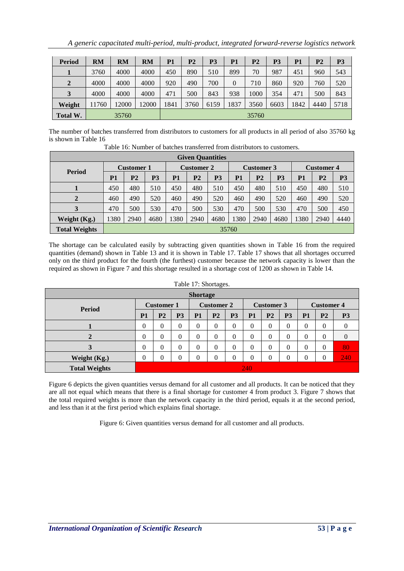| <b>Period</b>   | RM    | RM    | RM    | <b>P1</b> | P2   | P3   | P1   | P <sub>2</sub> | P3   | P1  | P <sub>2</sub> | P <sub>3</sub> |
|-----------------|-------|-------|-------|-----------|------|------|------|----------------|------|-----|----------------|----------------|
|                 | 3760  | 4000  | 4000  | 450       | 890  | 510  | 899  | 70             | 987  | 451 | 960            | 543            |
| $\overline{2}$  | 4000  | 4000  | 4000  | 920       | 490  | 700  | 0    | 710            | 860  | 920 | 760            | 520            |
| 3               | 4000  | 4000  | 4000  | 471       | 500  | 843  | 938  | 1000           | 354  | 471 | 500            | 843            |
| Weight          | 11760 | 12000 | 12000 | 1841      | 3760 | 6159 | 1837 | 3560           | 6603 | 842 | 4440           | 5718           |
| <b>Total W.</b> |       | 35760 |       | 35760     |      |      |      |                |      |     |                |                |

The number of batches transferred from distributors to customers for all products in all period of also 35760 kg is shown in Table 16

Table 16: Number of batches transferred from distributors to customers.

| <b>Given Quantities</b> |                             |                   |                |                   |                |                |           |                   |      |                   |                |                |
|-------------------------|-----------------------------|-------------------|----------------|-------------------|----------------|----------------|-----------|-------------------|------|-------------------|----------------|----------------|
| <b>Period</b>           |                             | <b>Customer 1</b> |                | <b>Customer 2</b> |                |                |           | <b>Customer 3</b> |      | <b>Customer 4</b> |                |                |
|                         | <b>P1</b><br>P <sub>2</sub> |                   | P <sub>3</sub> | <b>P1</b>         | P <sub>2</sub> | P <sub>3</sub> | <b>P1</b> | P <sub>2</sub>    | P3   | <b>P1</b>         | P <sub>2</sub> | P <sub>3</sub> |
|                         | 450                         | 480               | 510            | 450               | 480            | 510            | 450       | 480               | 510  | 450               | 480            | 510            |
| 2                       | 460                         | 490               | 520            | 460               | 490            | 520            | 460       | 490               | 520  | 460               | 490            | 520            |
| 3                       | 470                         | 500               | 530            | 470               | 500            | 530            | 470       | 500               | 530  | 470               | 500            | 450            |
| Weight $(Kg.)$          | 1380                        | 2940              | 4680           | 1380              | 2940           | 4680           | 1380      | 2940              | 4680 | 1380              | 2940           | 4440           |
| <b>Total Weights</b>    |                             | 35760             |                |                   |                |                |           |                   |      |                   |                |                |

The shortage can be calculated easily by subtracting given quantities shown in Table 16 from the required quantities (demand) shown in Table 13 and it is shown in Table 17. Table 17 shows that all shortages occurred only on the third product for the fourth (the furthest) customer because the network capacity is lower than the required as shown in Figure 7 and this shortage resulted in a shortage cost of 1200 as shown in Table 14.

| Table 17: Shortages. |                                        |                |                |                |                |                   |           |                |                   |                |                |                |
|----------------------|----------------------------------------|----------------|----------------|----------------|----------------|-------------------|-----------|----------------|-------------------|----------------|----------------|----------------|
| <b>Shortage</b>      |                                        |                |                |                |                |                   |           |                |                   |                |                |                |
| <b>Period</b>        | <b>Customer 1</b><br><b>Customer 2</b> |                |                |                |                | <b>Customer 3</b> |           |                | <b>Customer 4</b> |                |                |                |
|                      | <b>P1</b>                              | P <sub>2</sub> | P <sub>3</sub> | <b>P1</b>      | P <sub>2</sub> | P <sub>3</sub>    | <b>P1</b> | P <sub>2</sub> | P <sub>3</sub>    | <b>P1</b>      | P <sub>2</sub> | P <sub>3</sub> |
|                      | $\Omega$                               | 0              | $\overline{0}$ | $\theta$       | $\Omega$       | 0                 | 0         | $\theta$       | $\Omega$          | $\overline{0}$ | $\theta$       | 0              |
| $\mathbf{2}$         | 0                                      | $\Omega$       | $\theta$       | $\overline{0}$ | $\theta$       | 0                 | 0         | $\theta$       | $\Omega$          | 0              | $\theta$       | $\theta$       |
| 3                    | $\Omega$                               | 0              | 0              | $\mathbf{0}$   | $\overline{0}$ | 0                 | 0         | $\theta$       | $\Omega$          | 0              | $\theta$       | 80             |
| Weight (Kg.)         | $\overline{0}$                         |                | $\theta$       | $\Omega$       | $\overline{0}$ | 0                 | $\Omega$  | $\theta$       |                   | 0              | $\theta$       | 240            |
| <b>Total Weights</b> |                                        |                |                |                |                |                   | 240       |                |                   |                |                |                |

Figure 6 depicts the given quantities versus demand for all customer and all products. It can be noticed that they are all not equal which means that there is a final shortage for customer 4 from product 3. Figure 7 shows that the total required weights is more than the network capacity in the third period, equals it at the second period, and less than it at the first period which explains final shortage.

Figure 6: Given quantities versus demand for all customer and all products.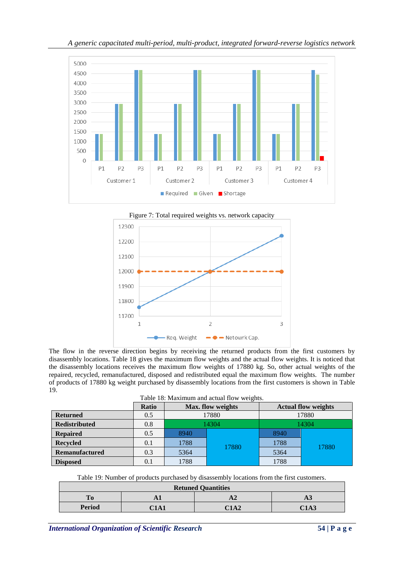





The flow in the reverse direction begins by receiving the returned products from the first customers by disassembly locations. Table 18 gives the maximum flow weights and the actual flow weights. It is noticed that the disassembly locations receives the maximum flow weights of 17880 kg. So, other actual weights of the repaired, recycled, remanufactured, disposed and redistributed equal the maximum flow weights. The number of products of 17880 kg weight purchased by disassembly locations from the first customers is shown in Table 19.

| Table 18: Maximum and actual flow weights. |              |      |                          |                            |       |  |  |  |
|--------------------------------------------|--------------|------|--------------------------|----------------------------|-------|--|--|--|
|                                            | <b>Ratio</b> |      | <b>Max.</b> flow weights | <b>Actual flow weights</b> |       |  |  |  |
| <b>Returned</b>                            | 0.5          |      | 17880                    | 17880                      |       |  |  |  |
| <b>Redistributed</b>                       | 0.8          |      | 14304                    | 14304                      |       |  |  |  |
| <b>Repaired</b>                            | 0.5          | 8940 |                          | 8940                       |       |  |  |  |
| <b>Recycled</b>                            | 0.1          | 1788 | 17880                    | 1788                       | 17880 |  |  |  |
| <b>Remanufactured</b>                      | 0.3          | 5364 |                          | 5364                       |       |  |  |  |
| <b>Disposed</b>                            | 0.1          | 1788 |                          | 1788                       |       |  |  |  |

Table 19: Number of products purchased by disassembly locations from the first customers.

| <b>Retuned Quantities</b>             |      |             |             |  |  |  |  |  |  |
|---------------------------------------|------|-------------|-------------|--|--|--|--|--|--|
| <b>To</b><br>$\mathbf{L}$<br>n p<br>. |      |             |             |  |  |  |  |  |  |
| <b>Period</b>                         | C1A1 | <b>C1A2</b> | <b>C1A3</b> |  |  |  |  |  |  |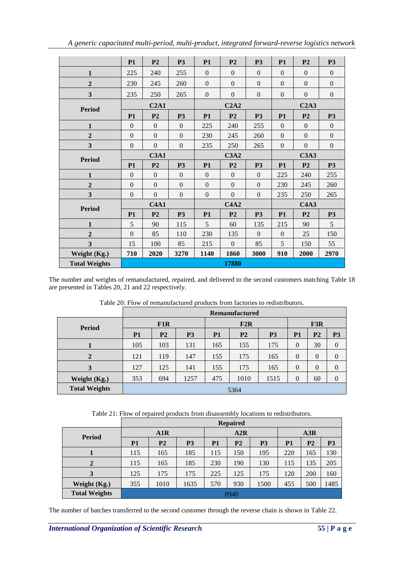|                         | <b>P1</b>        | P <sub>2</sub>   | <b>P3</b>        | P <sub>1</sub>   | P <sub>2</sub>   | <b>P3</b>      | <b>P1</b>        | P <sub>2</sub>   | <b>P3</b>        |
|-------------------------|------------------|------------------|------------------|------------------|------------------|----------------|------------------|------------------|------------------|
| $\mathbf{1}$            | 225              | 240              | 255              | $\overline{0}$   | $\overline{0}$   | $\mathbf{0}$   | $\boldsymbol{0}$ | $\boldsymbol{0}$ | $\boldsymbol{0}$ |
| $\overline{2}$          | 230              | 245              | 260              | $\overline{0}$   | $\boldsymbol{0}$ | $\theta$       | $\overline{0}$   | $\boldsymbol{0}$ | $\boldsymbol{0}$ |
| $\mathbf{3}$            | 235              | 250              | 265              | $\overline{0}$   | $\theta$         | $\theta$       | $\theta$         | $\boldsymbol{0}$ | $\boldsymbol{0}$ |
| <b>Period</b>           | C2A1             |                  |                  | C2A2             |                  |                | C2A3             |                  |                  |
|                         | <b>P1</b>        | P <sub>2</sub>   | <b>P3</b>        | <b>P1</b>        | P <sub>2</sub>   | <b>P3</b>      | <b>P1</b>        | P <sub>2</sub>   | <b>P3</b>        |
| $\mathbf{1}$            | $\boldsymbol{0}$ | $\overline{0}$   | $\theta$         | 225              | 240              | 255            | $\theta$         | $\overline{0}$   | $\theta$         |
| $\boldsymbol{2}$        | $\boldsymbol{0}$ | $\boldsymbol{0}$ | $\boldsymbol{0}$ | 230              | 245              | 260            | $\boldsymbol{0}$ | $\boldsymbol{0}$ | $\boldsymbol{0}$ |
| 3                       | $\boldsymbol{0}$ | $\mathbf{0}$     | $\mathbf{0}$     | 235              | 250              | 265            | $\overline{0}$   | $\Omega$         | $\boldsymbol{0}$ |
| <b>Period</b>           | C3A1             |                  |                  | C3A2             |                  |                | C3A3             |                  |                  |
|                         | <b>P1</b>        | P <sub>2</sub>   | <b>P3</b>        | <b>P1</b>        | P <sub>2</sub>   | <b>P3</b>      | P1               | P <sub>2</sub>   | <b>P3</b>        |
| $\mathbf{1}$            | $\boldsymbol{0}$ | $\overline{0}$   | $\theta$         | $\overline{0}$   | $\overline{0}$   | $\overline{0}$ | 225              | 240              | 255              |
| $\boldsymbol{2}$        | $\theta$         | $\overline{0}$   | $\theta$         | $\boldsymbol{0}$ | $\theta$         | $\overline{0}$ | 230              | 245              | 260              |
| $\overline{\mathbf{3}}$ | $\boldsymbol{0}$ | $\mathbf{0}$     | $\overline{0}$   | $\boldsymbol{0}$ | $\boldsymbol{0}$ | $\overline{0}$ | 235              | 250              | 265              |
| <b>Period</b>           | C4A1             |                  |                  | C4A2             |                  |                | C4A3             |                  |                  |
|                         | P1               | P <sub>2</sub>   | <b>P3</b>        | <b>P1</b>        | P <sub>2</sub>   | <b>P3</b>      | P1               | P <sub>2</sub>   | <b>P3</b>        |
| $\mathbf{1}$            | 5                | 90               | 115              | 5                | 60               | 135            | 215              | 90               | 5                |
| $\overline{2}$          | $\boldsymbol{0}$ | 85               | 110              | 230              | 135              | $\mathbf{0}$   | $\overline{0}$   | 25               | 150              |
| 3                       | 15               | 100              | 85               | 215              | $\mathbf{0}$     | 85             | 5                | 150              | 55               |
| Weight (Kg.)            | 710              | 2020             | 3270             | 1140             | 1860             | 3000           | 910              | 2000             | 2970             |
| <b>Total Weights</b>    |                  |                  |                  |                  | 17880            |                |                  |                  |                  |

The number and weights of remanufactured, repaired, and delivered to the second customers matching Table 18 are presented in Tables 20, 21 and 22 respectively.

|                      | <b>Remanufactured</b> |                |                |           |                |                |           |                |                |  |
|----------------------|-----------------------|----------------|----------------|-----------|----------------|----------------|-----------|----------------|----------------|--|
| <b>Period</b>        | F1R                   |                |                |           | F2R            | F3R            |           |                |                |  |
|                      | <b>P1</b>             | P <sub>2</sub> | P <sub>3</sub> | <b>P1</b> | P <sub>2</sub> | P <sub>3</sub> | <b>P1</b> | P <sub>2</sub> | P <sub>3</sub> |  |
|                      | 105                   | 103            | 131            | 165       | 155            | 175            | $\theta$  | 30             | $\overline{0}$ |  |
| 2                    | 121                   | 119            | 147            | 155       | 175            | 165            | $\Omega$  | $\Omega$       | $\theta$       |  |
| 3                    | 127                   | 125            | 141            | 155       | 175            | 165            | $\theta$  | $\theta$       | $\theta$       |  |
| Weight (Kg.)         | 353                   | 694            | 1257           | 475       | 1010           | 1515           | $\theta$  | 60             | $\overline{0}$ |  |
| <b>Total Weights</b> | 5364                  |                |                |           |                |                |           |                |                |  |

Table 20: Flow of remanufactured products from factories to redistributors.

Table 21: Flow of repaired products from disassembly locations to redistributors.

|                      | <b>Repaired</b> |                |                |           |                |                |                |                |                |
|----------------------|-----------------|----------------|----------------|-----------|----------------|----------------|----------------|----------------|----------------|
| <b>Period</b>        | A1R             |                |                | A2R       |                |                | A3R            |                |                |
|                      | <b>P1</b>       | P <sub>2</sub> | P <sub>3</sub> | <b>P1</b> | P <sub>2</sub> | P <sub>3</sub> | P <sub>1</sub> | P <sub>2</sub> | P <sub>3</sub> |
|                      | 115             | 165            | 185            | 115       | 150            | 195            | 220            | 165            | 130            |
| $\overline{2}$       | 115             | 165            | 185            | 230       | 190            | 130            | 115            | 135            | 205            |
| 3                    | 125             | 175            | 175            | 225       | 125            | 175            | 120            | 200            | 160            |
| Weight (Kg.)         | 355             | 1010           | 1635           | 570       | 930            | 1500           | 455            | 500            | 1485           |
| <b>Total Weights</b> | 8940            |                |                |           |                |                |                |                |                |

The number of batches transferred to the second customer through the reverse chain is shown in Table 22.